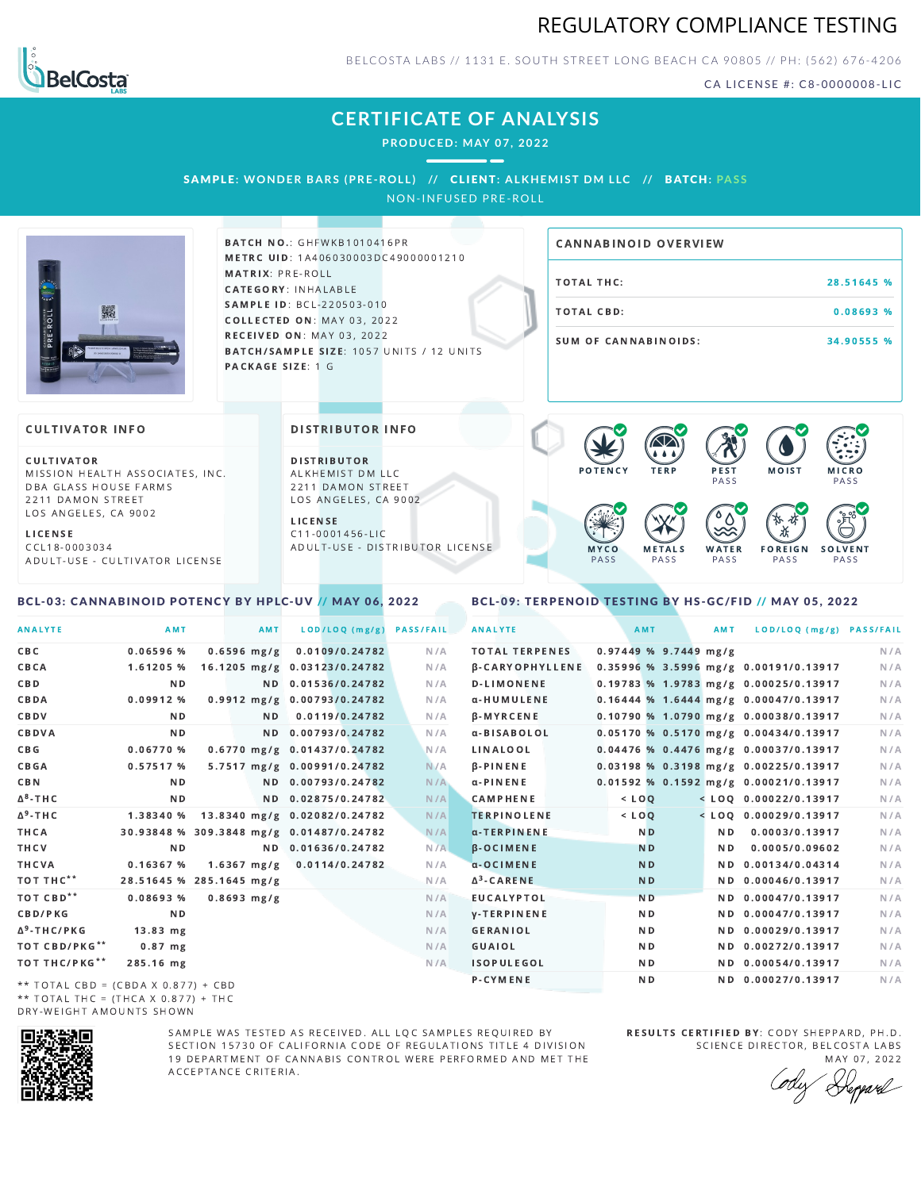



BELCOSTA LABS // 1131 E. SOUTH STREET LONG BEACH C A 90805 // PH: (562) 676-4206

CA LICENSE #: C8-0000008-LIC

## **CERTIFICATE OF ANALYSIS**

**PRODUCED: MAY 07, 2022**

SAMPLE: WONDER BARS (PRE-ROLL) // CLIENT: ALKHEMIST DM LLC // BATCH: PASS

NON-INFUSED PRE-ROLL



**BATCH NO.: GHFWKB1010416PR** METRC UID: 1A406030003DC49000001210 MATRIX: PRE-ROLL CATEGORY: INHALABLE SAMPLE ID: BCL-220503-010 COLLECTED ON: MAY 03, 2022 **RECEIVED ON: MAY 03, 2022** BATCH/SAMPLE SIZE: 1057 UNITS / 12 UNITS PACKAGE SIZE: 1 G

# TOTAL THC: 28.51645 % TOTAL CBD: 0.08693 % SUM OF CANNABINOIDS: 34.90555 % CANNABINOID OVERVIEW

### **CULTIVATOR INFO**

CULTIVATOR MISSION HEALTH ASSOCIATES, INC. DBA GLASS HOUSE FARMS 2211 DAMON STREET LOS ANGELES, CA 9002

L I C E N S E C C L 1 8 - 0 0 0 3 0 3 4 A D U L T - U S E - C U L T I V A T O R L I CENSE

<span id="page-0-0"></span>BCL-03: CANNABINOID POTENCY BY HPLC-UV // MAY 06, 2022

DISTRIBUTOR INFO

D I STRIBUTOR ALKHEMIST DM LLC 2211 DAMON STREET LOS ANGELES, CA 9002 L I C E N S E

 $C$  11-0001456-LIC A D U L T - U S E - D I STRI B U T O R LICENSE



<span id="page-0-1"></span>BCL-09: TERPENOID TESTING BY HS-GC/FID // MAY 05, 2022

| <b>ANALYTE</b>                      | AMT                                      | AMT            | LOD/LOQ (mg/g)               | <b>PASS/FAIL</b> | <b>ANALYTE</b>         |                         | AMT            | AMT | LOD/LOQ (mg/g) PASS/FAIL                |     |
|-------------------------------------|------------------------------------------|----------------|------------------------------|------------------|------------------------|-------------------------|----------------|-----|-----------------------------------------|-----|
| C B C                               | $0.06596$ %                              | $0.6596$ mg/g  | 0.0109/0.24782               | N/A              | <b>TOTAL TERPENES</b>  | $0.97449$ % 9.7449 mg/g |                |     |                                         | N/A |
| CBCA                                | 1.61205 %                                |                | 16.1205 mg/g 0.03123/0.24782 | N/A              | <b>B-CARYOPHYLLENE</b> |                         |                |     | 0.35996 % 3.5996 mg/g 0.00191/0.13917   | N/A |
| C B D                               | N <sub>D</sub>                           |                | ND 0.01536/0.24782           | N/A              | <b>D-LIMONENE</b>      |                         |                |     | 0.19783 % 1.9783 mg/g 0.00025/0.13917   | N/A |
| CBDA                                | 0.09912%                                 |                | 0.9912 mg/g 0.00793/0.24782  | N/A              | α-HUMULENE             |                         |                |     | $0.16444$ % 1.6444 mg/g 0.00047/0.13917 | N/A |
| CBDV                                | ND.                                      | N <sub>D</sub> | 0.0119/0.24782               | N/A              | <b>B-MYRCENE</b>       |                         |                |     | $0.10790$ % 1.0790 mg/g 0.00038/0.13917 | N/A |
| CBDVA                               | N <sub>D</sub>                           |                | ND 0.00793/0.24782           | N/A              | α-BISABOLOL            |                         |                |     | $0.05170$ % 0.5170 mg/g 0.00434/0.13917 | N/A |
| C B G                               | 0.06770%                                 |                | 0.6770 mg/g 0.01437/0.24782  | N/A              | LINALOOL               |                         |                |     | 0.04476 % 0.4476 mg/g 0.00037/0.13917   | N/A |
| CBGA                                | 0.57517%                                 |                | 5.7517 mg/g 0.00991/0.24782  | N/A              | $\beta$ -PINENE        |                         |                |     | 0.03198 % 0.3198 mg/g 0.00225/0.13917   | N/A |
| C B N                               | N <sub>D</sub>                           |                | ND 0.00793/0.24782           | N/A              | $\alpha$ -PINENE       |                         |                |     | 0.01592 % 0.1592 mg/g 0.00021/0.13917   | N/A |
| ∆ <sup>8</sup> -ТНС                 | N D                                      |                | ND 0.02875/0.24782           | N/A              | <b>CAMPHENE</b>        | $<$ LOQ                 |                |     | $<$ LOQ 0.00022/0.13917                 | N/A |
| Δ <sup>9</sup> -ΤΗ C                | 1.38340 %                                |                | 13.8340 mg/g 0.02082/0.24782 | N/A              | <b>TERPINOLENE</b>     | $<$ LOO                 |                |     | $<$ LOO 0.00029/0.13917                 | N/A |
| THCA                                | 30.93848 % 309.3848 mg/g 0.01487/0.24782 |                |                              | N/A              | α-TERPINENE            |                         | N <sub>D</sub> | ND. | 0.0003/0.13917                          | N/A |
| THCV                                | N <sub>D</sub>                           |                | ND 0.01636/0.24782           | N/A              | $\beta$ -OCIMENE       |                         | <b>ND</b>      | N D | 0.0005/0.09602                          | N/A |
| THCVA                               | 0.16367%                                 | $1.6367$ mg/g  | 0.0114/0.24782               | N/A              | $\alpha$ -OCIMENE      |                         | N <sub>D</sub> |     | ND 0.00134/0.04314                      | N/A |
| тот тнс**                           | 28.51645 % 285.1645 mg/g                 |                |                              | N/A              | $\Delta^3$ -CARENE     |                         | N <sub>D</sub> |     | ND 0.00046/0.13917                      | N/A |
| тот свр**                           | 0.08693%                                 | $0.8693$ mg/g  |                              | N/A              | <b>EUCALYPTOL</b>      |                         | N <sub>D</sub> |     | ND 0.00047/0.13917                      | N/A |
| <b>CBD/PKG</b>                      | N <sub>D</sub>                           |                |                              | N/A              | <b>V-TERPINENE</b>     |                         | N <sub>D</sub> |     | ND 0.00047/0.13917                      | N/A |
| ∆ <sup>9</sup> -THC/PKG             | $13.83$ mg                               |                |                              | N/A              | <b>GERANIOL</b>        |                         | N <sub>D</sub> |     | ND 0.00029/0.13917                      | N/A |
| ТОТ СВD/РКG**                       | $0.87$ mg                                |                |                              | N/A              | GUAIOL                 |                         | ND.            |     | ND 0.00272/0.13917                      | N/A |
| ТОТ ТНС/РКG**                       | 285.16 mg                                |                |                              | N/A              | <b>ISOPULEGOL</b>      |                         | ND.            |     | ND 0.00054/0.13917                      | N/A |
| ** TOTAL CBD = (CBDA X 0.877) + CBD |                                          |                |                              |                  | P-CYMENE               |                         | ND.            |     | ND 0.00027/0.13917                      | N/A |

\*\* TOTAL CBD = (CBDA X 0.877) + CBD \*\* TOTAL THC = (THCA X  $0.877$ ) + THC DRY-WEIGHT AMOUNTS SHOWN



SAMPLE WAS TESTED AS RECEIVED. ALL LOC SAMPLES REQUIRED BY SECTION 15730 OF CALIFORNIA CODE OF REGULATIONS TITLE 4 DIVISION 19 DEPARTMENT OF CANNABIS CONTROL WERE PERFORMED AND MET THE A C C E P T A N C E C R I T E R I A.

RESULTS CERTIFIED BY: CODY SHEPPARD, PH.D. SCIENCE DIRECTOR, BELCOSTA LABS MAY 07, 2022

Keppard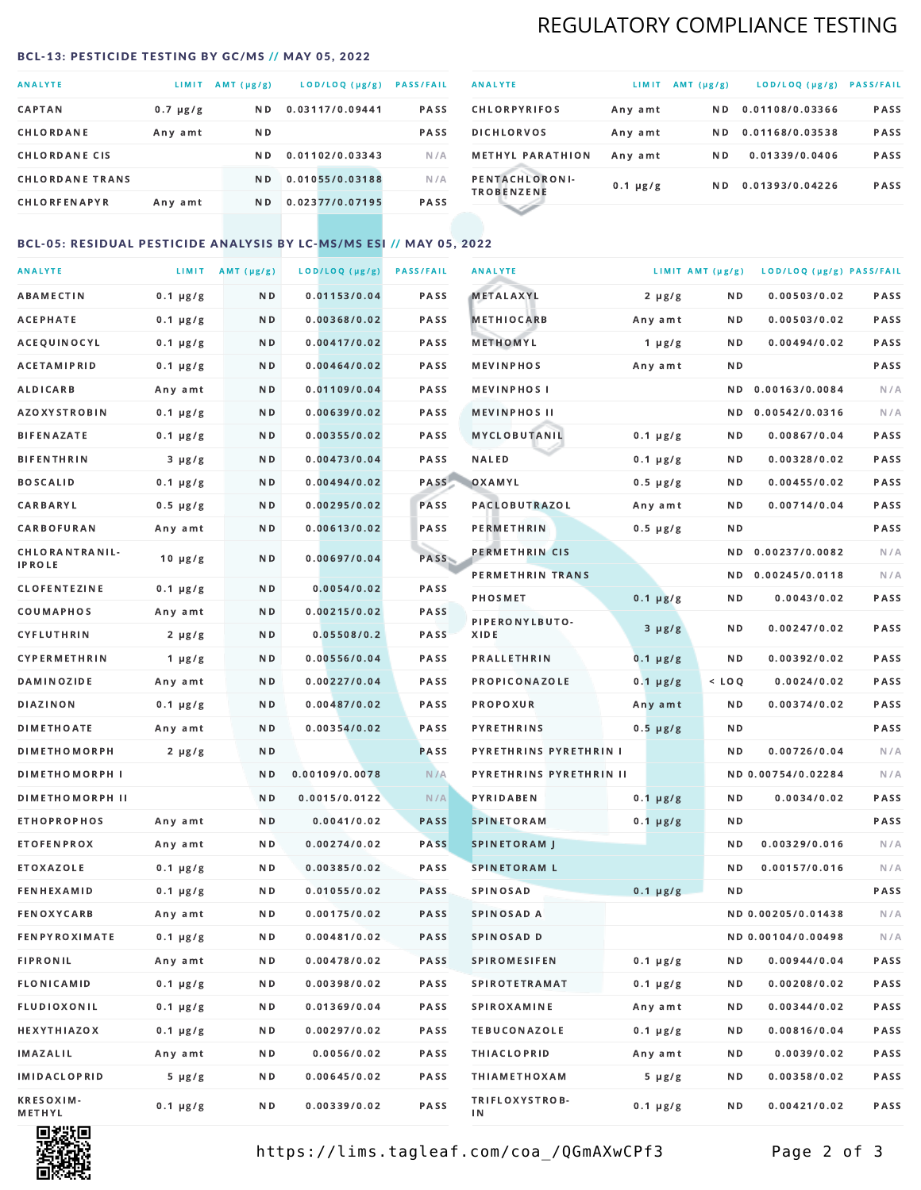## REGULATORY COMPLIANCE TESTING

#### <span id="page-1-0"></span>BCL-13: PESTICIDE TESTING BY GC/MS // MAY 05, 2022

| <b>ANALYTE</b>         | LIMIT         | $AMT(\mu g/g)$ | LOD/LOQ (µg/g)  | <b>PASS/FAIL</b> |
|------------------------|---------------|----------------|-----------------|------------------|
| <b>CAPTAN</b>          | $0.7 \mu g/g$ | ND.            | 0.03117/0.09441 | <b>PASS</b>      |
| CHLORDANE              | Any amt       | ND.            |                 | <b>PASS</b>      |
| <b>CHLORDANE CIS</b>   |               | ND.            | 0.01102/0.03343 | N/A              |
| <b>CHLORDANE TRANS</b> |               | N <sub>D</sub> | 0.01055/0.03188 | N/A              |
| <b>CHLORFENAPYR</b>    | Any amt       | N D            | 0.02377/0.07195 | <b>PASS</b>      |

| <b>ANALYTE</b>                      | LIMIT         | $AMT(\mu g/g)$ | LOD/LOQ (µg/g)  | <b>PASS/FAIL</b> |
|-------------------------------------|---------------|----------------|-----------------|------------------|
| <b>CHLORPYRIFOS</b>                 | Any amt       | N D            | 0.01108/0.03366 | <b>PASS</b>      |
| <b>DICHLORVOS</b>                   | Any amt       | N D.           | 0.01168/0.03538 | PASS             |
| <b>METHYL PARATHION</b>             | Any amt       | N D            | 0.01339/0.0406  | <b>PASS</b>      |
| PENTACHLORONI-<br><b>TROBENZENE</b> | $0.1 \mu g/g$ | ND.            | 0.01393/0.04226 | <b>PASS</b>      |
|                                     |               |                |                 |                  |

## BCL-05: RESIDUAL PESTICIDE ANALYSIS BY LC-MS/MS ESI // MAY 05, 2022

| <b>ANALYTE</b>             |               | LIMIT AMT $(\mu g/g)$ | LOD/LOQ (µg/g) | <b>PASS/FAIL</b> | <b>ANALYTE</b>          |               | LIMIT AMT (µg/g) | LOD/LOQ (µg/g) PASS/FAIL |      |
|----------------------------|---------------|-----------------------|----------------|------------------|-------------------------|---------------|------------------|--------------------------|------|
| ABAMECTIN                  | $0.1 \mu g/g$ | N D                   | 0.01153/0.04   | PASS             | <b>METALAXYL</b>        | $2 \mu g/g$   | N D              | 0.00503/0.02             | PASS |
| <b>ACEPHATE</b>            | $0.1 \mu g/g$ | N D                   | 0.00368/0.02   | PASS             | <b>METHIOCARB</b>       | Any amt       | N D              | 0.00503/0.02             | PASS |
| ACEQUINOCYL                | $0.1 \mu g/g$ | N D                   | 0.00417/0.02   | PASS             | METHOMYL                | 1 $\mu$ g/g   | N D              | 0.00494/0.02             | PASS |
| ACETAMIPRID                | $0.1 \mu g/g$ | N D                   | 0.00464/0.02   | PASS             | <b>MEVINPHOS</b>        | Any amt       | N D              |                          | PASS |
| <b>ALDICARB</b>            | Any amt       | N D                   | 0.01109/0.04   | PASS             | <b>MEVINPHOSI</b>       |               | N D              | 0.00163/0.0084           | N/A  |
| <b>AZOXYSTROBIN</b>        | $0.1 \mu g/g$ | N D                   | 0.00639/0.02   | PASS             | <b>MEVINPHOS II</b>     |               | N D              | 0.00542/0.0316           | N/A  |
| <b>BIFENAZATE</b>          | $0.1 \mu g/g$ | N D                   | 0.00355/0.02   | PASS             | <b>MYCLOBUTANIL</b>     | $0.1 \mu g/g$ | N D              | 0.00867/0.04             | PASS |
| <b>BIFENTHRIN</b>          | $3 \mu g/g$   | N D                   | 0.00473/0.04   | PASS             | <b>NALED</b>            | $0.1 \mu g/g$ | N D              | 0.00328/0.02             | PASS |
| <b>BOSCALID</b>            | $0.1 \mu g/g$ | N D                   | 0.00494/0.02   | PASS             | OXAMYL                  | $0.5 \mu g/g$ | N D              | 0.00455/0.02             | PASS |
| CARBARYL                   | $0.5 \mu g/g$ | N D                   | 0.00295/0.02   | PASS             | PACLOBUTRAZOL           | Any amt       | N D              | 0.00714/0.04             | PASS |
| CARBOFURAN                 | Any amt       | N D                   | 0.00613/0.02   | PASS             | PERMETHRIN              | $0.5 \mu g/g$ | N D              |                          | PASS |
| CHLORANTRANIL-             | $10 \mu g/g$  | N D                   | 0.00697/0.04   | PASS             | PERMETHRIN CIS          |               | ND.              | 0.00237/0.0082           | N/A  |
| <b>IPROLE</b>              |               |                       |                |                  | PERMETHRIN TRANS        |               |                  | ND 0.00245/0.0118        | N/A  |
| <b>CLOFENTEZINE</b>        | $0.1 \mu g/g$ | ND.                   | 0.0054/0.02    | PASS             | <b>PHOSMET</b>          | $0.1 \mu g/g$ | N D              | 0.0043/0.02              | PASS |
| COUMAPHOS                  | Any amt       | N D                   | 0.00215/0.02   | <b>PASS</b>      | PIPERONYLBUTO-          | $3 \mu g/g$   | N D              | 0.00247/0.02             | PASS |
| CYFLUTHRIN                 | $2 \mu g/g$   | N D                   | 0.05508/0.2    | <b>PASS</b>      | XIDE                    |               |                  |                          |      |
| <b>CYPERMETHRIN</b>        | $1 \mu g/g$   | N D                   | 0.00556/0.04   | PASS             | <b>PRALLETHRIN</b>      | $0.1 \mu g/g$ | N D              | 0.00392/0.02             | PASS |
| <b>DAMINOZIDE</b>          | Any amt       | N D                   | 0.00227/0.04   | PASS             | PROPICONAZOLE           | $0.1 \mu g/g$ | $<$ LOQ          | 0.0024/0.02              | PASS |
| DIAZINON                   | $0.1 \mu g/g$ | N D                   | 0.00487/0.02   | PASS             | <b>PROPOXUR</b>         | Any amt       | N D              | 0.00374/0.02             | PASS |
| <b>DIMETHOATE</b>          | Any amt       | N D                   | 0.00354/0.02   | PASS             | <b>PYRETHRINS</b>       | $0.5 \mu g/g$ | N D              |                          | PASS |
| <b>DIMETHOMORPH</b>        | $2 \mu g/g$   | N D                   |                | PASS             | PYRETHRINS PYRETHRIN I  |               | ND.              | 0.00726/0.04             | N/A  |
| <b>DIMETHOMORPH I</b>      |               | N D                   | 0.00109/0.0078 | N/A              | PYRETHRINS PYRETHRIN II |               |                  | ND 0.00754/0.02284       | N/A  |
| <b>DIMETHOMORPH II</b>     |               | N D                   | 0.0015/0.0122  | N/A              | <b>PYRIDABEN</b>        | $0.1 \mu g/g$ | N D              | 0.0034/0.02              | PASS |
| <b>ETHOPROPHOS</b>         | Any amt       | N D                   | 0.0041/0.02    | <b>PASS</b>      | <b>SPINETORAM</b>       | $0.1 \mu g/g$ | N D              |                          | PASS |
| <b>ETOFENPROX</b>          | Any amt       | ND.                   | 0.00274/0.02   | <b>PASS</b>      | <b>SPINETORAM J</b>     |               | N D              | 0.00329/0.016            | N/A  |
| ETOXAZOLE                  | $0.1 \mu g/g$ | N D                   | 0.00385/0.02   | PASS             | <b>SPINETORAM L</b>     |               | ND               | 0.00157/0.016            | N/A  |
| <b>FENHEXAMID</b>          | $0.1 \mu g/g$ | N D                   | 0.01055/0.02   | PASS             | <b>SPINOSAD</b>         | $0.1 \mu g/g$ | N D              |                          | PASS |
| <b>FENOXYCARB</b>          | Any amt       | N D                   | 0.00175/0.02   | <b>PASS</b>      | SPINOSAD A              |               |                  | ND 0.00205/0.01438       | N/A  |
| <b>FENPYROXIMATE</b>       | $0.1 \mu g/g$ | N D                   | 0.00481/0.02   | PASS             | SPINOSAD D              |               |                  | ND 0.00104/0.00498       | N/A  |
| <b>FIPRONIL</b>            | Any amt       | N D                   | 0.00478/0.02   | PASS             | <b>SPIROMESIFEN</b>     | $0.1 \mu g/g$ | N D              | 0.00944/0.04             | PASS |
| FLONICAMID                 | $0.1 \mu g/g$ | N D                   | 0.00398/0.02   | PASS             | SPIROTETRAMAT           | $0.1 \mu g/g$ | N D              | 0.00208/0.02             | PASS |
| FLUDIOXONIL                | $0.1 \mu g/g$ | N D                   | 0.01369/0.04   | PASS             | <b>SPIROXAMINE</b>      | Any amt       | N D              | 0.00344/0.02             | PASS |
| HEXYTHIAZOX                | $0.1 \mu g/g$ | N D                   | 0.00297/0.02   | PASS             | <b>TEBUCONAZOLE</b>     | $0.1 \mu g/g$ | N D              | 0.00816/0.04             | PASS |
| IMAZALIL                   | Any amt       | N D                   | 0.0056/0.02    | PASS             | <b>THIACLOPRID</b>      | Any amt       | N D              | 0.0039/0.02              | PASS |
| <b>IMIDACLOPRID</b>        | $5 \mu g/g$   | N D                   | 0.00645/0.02   | PASS             | <b>THIAMETHOXAM</b>     | $5 \mu g/g$   | N D              | 0.00358/0.02             | PASS |
| <b>KRESOXIM-</b><br>METHYL | $0.1 \mu g/g$ | N D                   | 0.00339/0.02   | PASS             | TRIFLOXYSTROB-<br>ΙN    | $0.1 \mu g/g$ | N D              | 0.00421/0.02             | PASS |